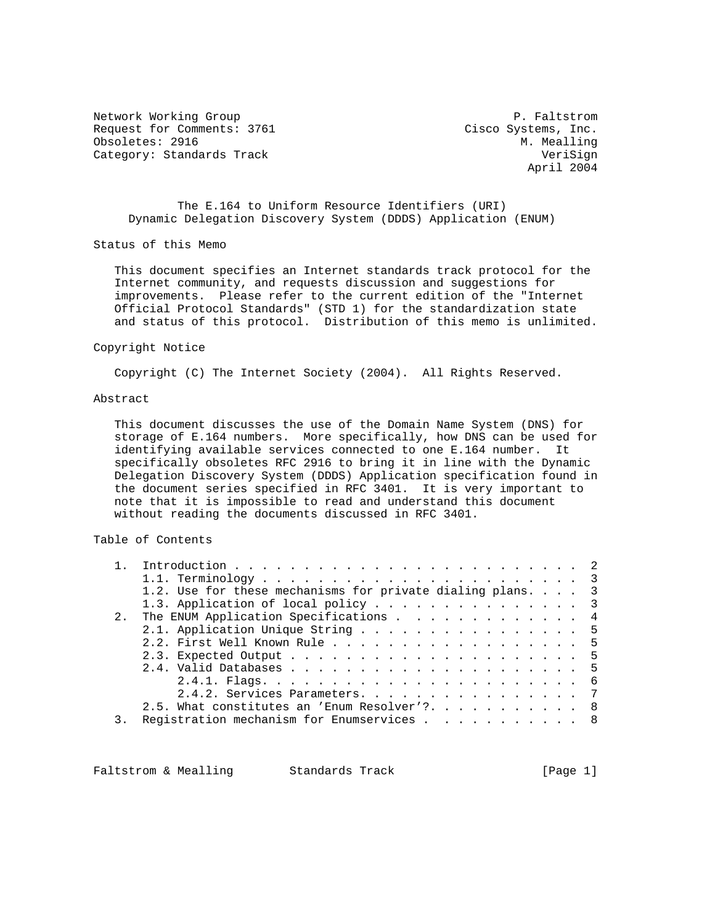Network Working Group **P. Faltstrom** P. Faltstrom Request for Comments: 3761 Cisco Systems, Inc. Obsoletes: 2916 M. Mealling Category: Standards Track VeriSign

April 2004

 The E.164 to Uniform Resource Identifiers (URI) Dynamic Delegation Discovery System (DDDS) Application (ENUM)

Status of this Memo

 This document specifies an Internet standards track protocol for the Internet community, and requests discussion and suggestions for improvements. Please refer to the current edition of the "Internet Official Protocol Standards" (STD 1) for the standardization state and status of this protocol. Distribution of this memo is unlimited.

#### Copyright Notice

Copyright (C) The Internet Society (2004). All Rights Reserved.

# Abstract

 This document discusses the use of the Domain Name System (DNS) for storage of E.164 numbers. More specifically, how DNS can be used for identifying available services connected to one E.164 number. It specifically obsoletes RFC 2916 to bring it in line with the Dynamic Delegation Discovery System (DDDS) Application specification found in the document series specified in RFC 3401. It is very important to note that it is impossible to read and understand this document without reading the documents discussed in RFC 3401.

# Table of Contents

|    | 1.2. Use for these mechanisms for private dialing plans 3 |
|----|-----------------------------------------------------------|
|    | 1.3. Application of local policy 3                        |
| 2. | The ENUM Application Specifications 4                     |
|    | 2.1. Application Unique String 5                          |
|    | 2.2. First Well Known Rule 5                              |
|    |                                                           |
|    |                                                           |
|    |                                                           |
|    | 2.4.2. Services Parameters. 7                             |
|    | 2.5. What constitutes an 'Enum Resolver'?. 8              |
|    | Registration mechanism for Enumservices 8                 |
|    |                                                           |

Faltstrom & Mealling Standards Track [Page 1]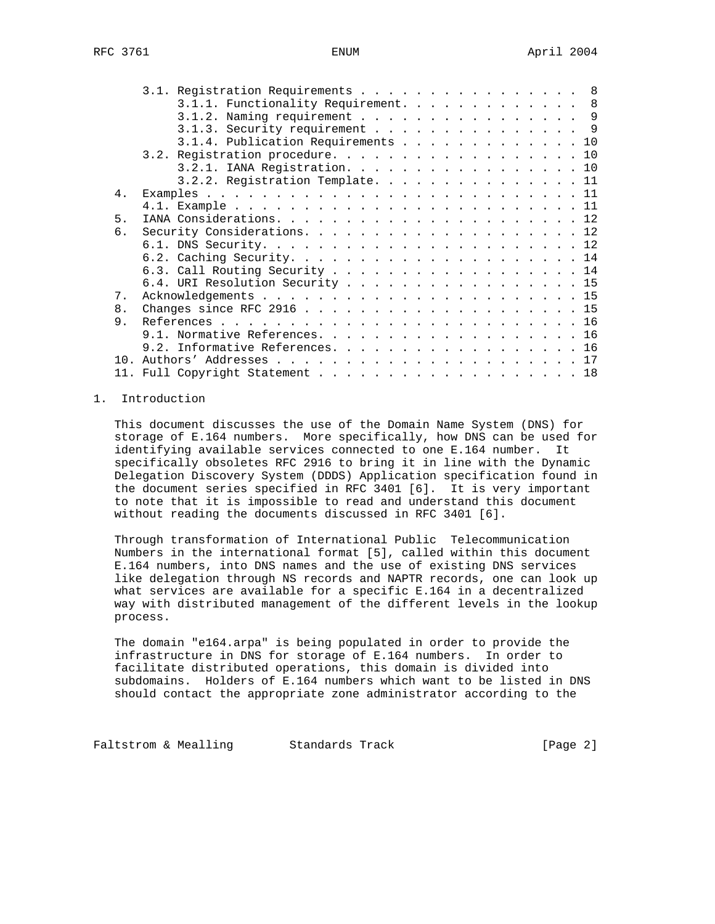|    | 3.1. Registration Requirements 8    |
|----|-------------------------------------|
|    | 3.1.1. Functionality Requirement. 8 |
|    | 3.1.2. Naming requirement 9         |
|    | 3.1.3. Security requirement 9       |
|    | 3.1.4. Publication Requirements 10  |
|    | 3.2. Registration procedure. 10     |
|    | 3.2.1. IANA Registration. 10        |
|    | 3.2.2. Registration Template. 11    |
| 4. |                                     |
|    |                                     |
| 5. |                                     |
| б. |                                     |
|    |                                     |
|    |                                     |
|    | 6.3. Call Routing Security 14       |
|    | 6.4. URI Resolution Security 15     |
| 7. |                                     |
| 8. |                                     |
| 9. |                                     |
|    | 9.1. Normative References. 16       |
|    | 9.2. Informative References. 16     |
|    |                                     |
|    | 11. Full Copyright Statement 18     |

# 1. Introduction

 This document discusses the use of the Domain Name System (DNS) for storage of E.164 numbers. More specifically, how DNS can be used for identifying available services connected to one E.164 number. It specifically obsoletes RFC 2916 to bring it in line with the Dynamic Delegation Discovery System (DDDS) Application specification found in the document series specified in RFC 3401 [6]. It is very important to note that it is impossible to read and understand this document without reading the documents discussed in RFC 3401 [6].

 Through transformation of International Public Telecommunication Numbers in the international format [5], called within this document E.164 numbers, into DNS names and the use of existing DNS services like delegation through NS records and NAPTR records, one can look up what services are available for a specific E.164 in a decentralized way with distributed management of the different levels in the lookup process.

 The domain "e164.arpa" is being populated in order to provide the infrastructure in DNS for storage of E.164 numbers. In order to facilitate distributed operations, this domain is divided into subdomains. Holders of E.164 numbers which want to be listed in DNS should contact the appropriate zone administrator according to the

Faltstrom & Mealling Standards Track [Page 2]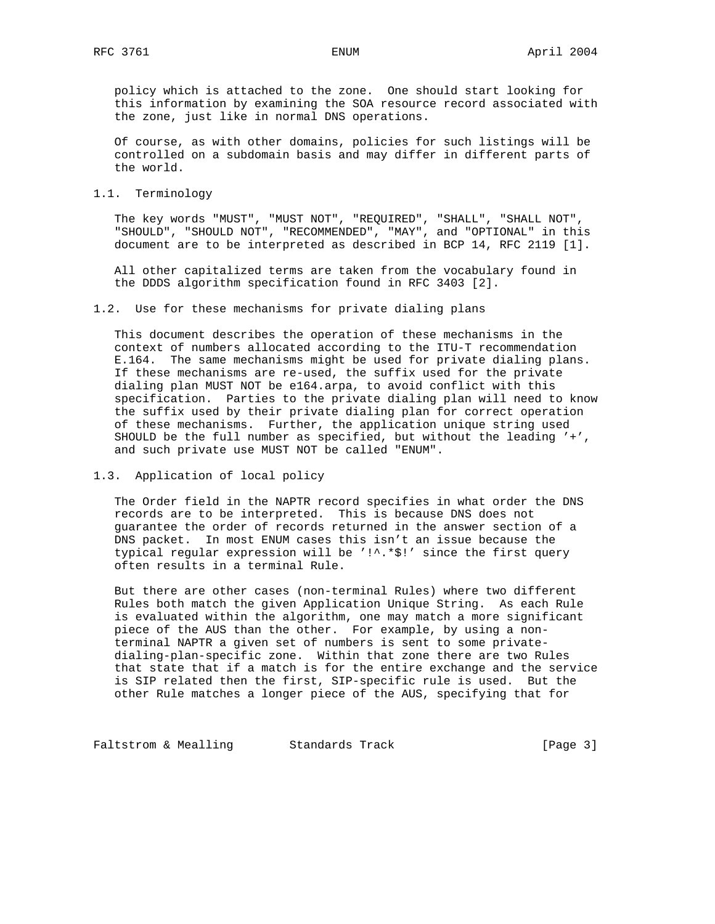policy which is attached to the zone. One should start looking for this information by examining the SOA resource record associated with the zone, just like in normal DNS operations.

 Of course, as with other domains, policies for such listings will be controlled on a subdomain basis and may differ in different parts of the world.

### 1.1. Terminology

 The key words "MUST", "MUST NOT", "REQUIRED", "SHALL", "SHALL NOT", "SHOULD", "SHOULD NOT", "RECOMMENDED", "MAY", and "OPTIONAL" in this document are to be interpreted as described in BCP 14, RFC 2119 [1].

 All other capitalized terms are taken from the vocabulary found in the DDDS algorithm specification found in RFC 3403 [2].

### 1.2. Use for these mechanisms for private dialing plans

 This document describes the operation of these mechanisms in the context of numbers allocated according to the ITU-T recommendation E.164. The same mechanisms might be used for private dialing plans. If these mechanisms are re-used, the suffix used for the private dialing plan MUST NOT be e164.arpa, to avoid conflict with this specification. Parties to the private dialing plan will need to know the suffix used by their private dialing plan for correct operation of these mechanisms. Further, the application unique string used SHOULD be the full number as specified, but without the leading '+', and such private use MUST NOT be called "ENUM".

## 1.3. Application of local policy

 The Order field in the NAPTR record specifies in what order the DNS records are to be interpreted. This is because DNS does not guarantee the order of records returned in the answer section of a DNS packet. In most ENUM cases this isn't an issue because the typical regular expression will be '!^.\*\$!' since the first query often results in a terminal Rule.

 But there are other cases (non-terminal Rules) where two different Rules both match the given Application Unique String. As each Rule is evaluated within the algorithm, one may match a more significant piece of the AUS than the other. For example, by using a non terminal NAPTR a given set of numbers is sent to some private dialing-plan-specific zone. Within that zone there are two Rules that state that if a match is for the entire exchange and the service is SIP related then the first, SIP-specific rule is used. But the other Rule matches a longer piece of the AUS, specifying that for

Faltstrom & Mealling Standards Track Track [Page 3]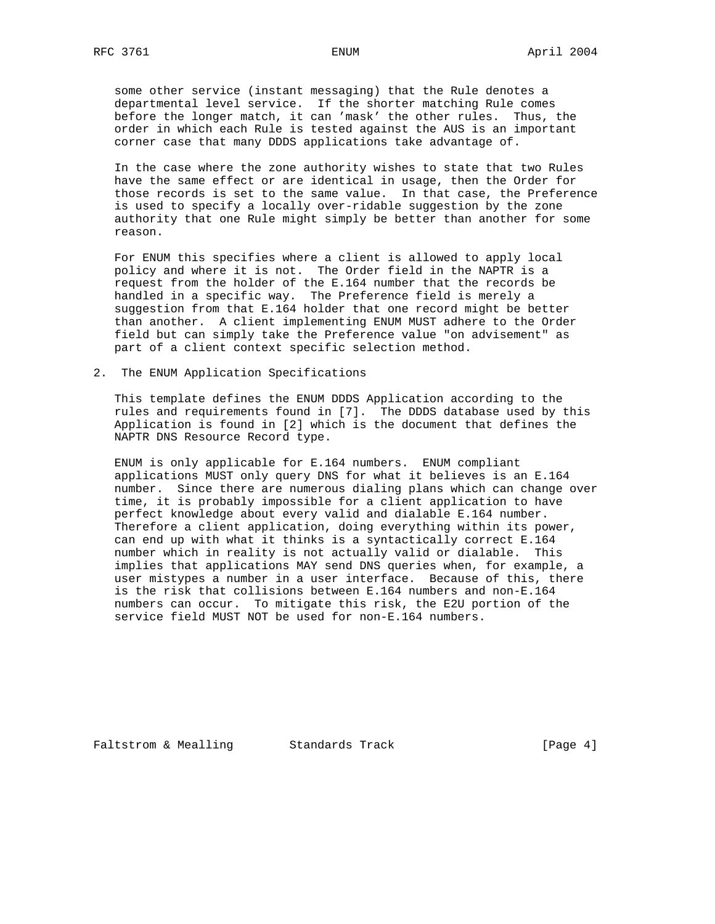some other service (instant messaging) that the Rule denotes a departmental level service. If the shorter matching Rule comes before the longer match, it can 'mask' the other rules. Thus, the order in which each Rule is tested against the AUS is an important corner case that many DDDS applications take advantage of.

 In the case where the zone authority wishes to state that two Rules have the same effect or are identical in usage, then the Order for those records is set to the same value. In that case, the Preference is used to specify a locally over-ridable suggestion by the zone authority that one Rule might simply be better than another for some reason.

 For ENUM this specifies where a client is allowed to apply local policy and where it is not. The Order field in the NAPTR is a request from the holder of the E.164 number that the records be handled in a specific way. The Preference field is merely a suggestion from that E.164 holder that one record might be better than another. A client implementing ENUM MUST adhere to the Order field but can simply take the Preference value "on advisement" as part of a client context specific selection method.

2. The ENUM Application Specifications

 This template defines the ENUM DDDS Application according to the rules and requirements found in [7]. The DDDS database used by this Application is found in [2] which is the document that defines the NAPTR DNS Resource Record type.

 ENUM is only applicable for E.164 numbers. ENUM compliant applications MUST only query DNS for what it believes is an E.164 number. Since there are numerous dialing plans which can change over time, it is probably impossible for a client application to have perfect knowledge about every valid and dialable E.164 number. Therefore a client application, doing everything within its power, can end up with what it thinks is a syntactically correct E.164 number which in reality is not actually valid or dialable. This implies that applications MAY send DNS queries when, for example, a user mistypes a number in a user interface. Because of this, there is the risk that collisions between E.164 numbers and non-E.164 numbers can occur. To mitigate this risk, the E2U portion of the service field MUST NOT be used for non-E.164 numbers.

Faltstrom & Mealling Standards Track [Page 4]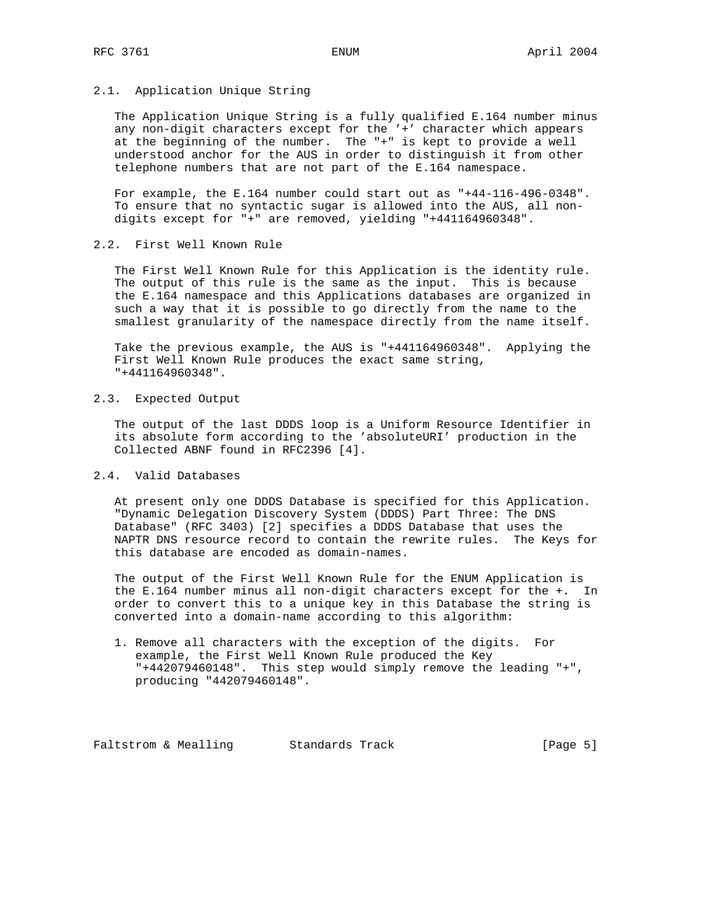## 2.1. Application Unique String

 The Application Unique String is a fully qualified E.164 number minus any non-digit characters except for the '+' character which appears at the beginning of the number. The "+" is kept to provide a well understood anchor for the AUS in order to distinguish it from other telephone numbers that are not part of the E.164 namespace.

 For example, the E.164 number could start out as "+44-116-496-0348". To ensure that no syntactic sugar is allowed into the AUS, all non digits except for "+" are removed, yielding "+441164960348".

### 2.2. First Well Known Rule

 The First Well Known Rule for this Application is the identity rule. The output of this rule is the same as the input. This is because the E.164 namespace and this Applications databases are organized in such a way that it is possible to go directly from the name to the smallest granularity of the namespace directly from the name itself.

 Take the previous example, the AUS is "+441164960348". Applying the First Well Known Rule produces the exact same string, "+441164960348".

### 2.3. Expected Output

 The output of the last DDDS loop is a Uniform Resource Identifier in its absolute form according to the 'absoluteURI' production in the Collected ABNF found in RFC2396 [4].

## 2.4. Valid Databases

 At present only one DDDS Database is specified for this Application. "Dynamic Delegation Discovery System (DDDS) Part Three: The DNS Database" (RFC 3403) [2] specifies a DDDS Database that uses the NAPTR DNS resource record to contain the rewrite rules. The Keys for this database are encoded as domain-names.

 The output of the First Well Known Rule for the ENUM Application is the E.164 number minus all non-digit characters except for the +. In order to convert this to a unique key in this Database the string is converted into a domain-name according to this algorithm:

 1. Remove all characters with the exception of the digits. For example, the First Well Known Rule produced the Key "+442079460148". This step would simply remove the leading "+", producing "442079460148".

Faltstrom & Mealling Standards Track [Page 5]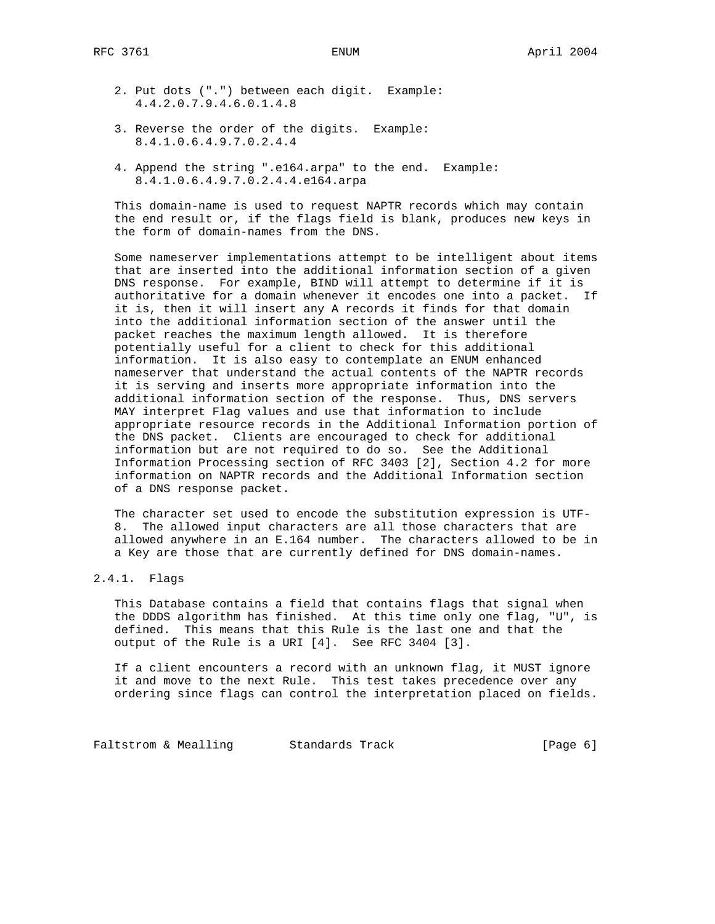- 2. Put dots (".") between each digit. Example: 4.4.2.0.7.9.4.6.0.1.4.8
- 3. Reverse the order of the digits. Example: 8.4.1.0.6.4.9.7.0.2.4.4
- 4. Append the string ".e164.arpa" to the end. Example: 8.4.1.0.6.4.9.7.0.2.4.4.e164.arpa

 This domain-name is used to request NAPTR records which may contain the end result or, if the flags field is blank, produces new keys in the form of domain-names from the DNS.

 Some nameserver implementations attempt to be intelligent about items that are inserted into the additional information section of a given DNS response. For example, BIND will attempt to determine if it is authoritative for a domain whenever it encodes one into a packet. If it is, then it will insert any A records it finds for that domain into the additional information section of the answer until the packet reaches the maximum length allowed. It is therefore potentially useful for a client to check for this additional information. It is also easy to contemplate an ENUM enhanced nameserver that understand the actual contents of the NAPTR records it is serving and inserts more appropriate information into the additional information section of the response. Thus, DNS servers MAY interpret Flag values and use that information to include appropriate resource records in the Additional Information portion of the DNS packet. Clients are encouraged to check for additional information but are not required to do so. See the Additional Information Processing section of RFC 3403 [2], Section 4.2 for more information on NAPTR records and the Additional Information section of a DNS response packet.

 The character set used to encode the substitution expression is UTF- 8. The allowed input characters are all those characters that are allowed anywhere in an E.164 number. The characters allowed to be in a Key are those that are currently defined for DNS domain-names.

# 2.4.1. Flags

 This Database contains a field that contains flags that signal when the DDDS algorithm has finished. At this time only one flag, "U", is defined. This means that this Rule is the last one and that the output of the Rule is a URI [4]. See RFC 3404 [3].

 If a client encounters a record with an unknown flag, it MUST ignore it and move to the next Rule. This test takes precedence over any ordering since flags can control the interpretation placed on fields.

Faltstrom & Mealling Standards Track Track [Page 6]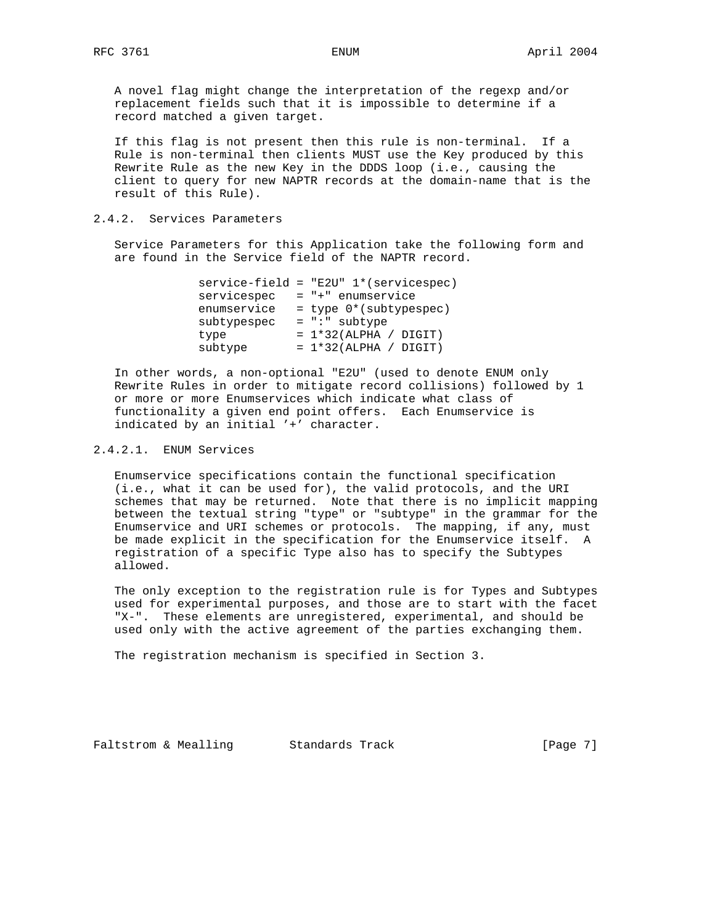A novel flag might change the interpretation of the regexp and/or replacement fields such that it is impossible to determine if a record matched a given target.

 If this flag is not present then this rule is non-terminal. If a Rule is non-terminal then clients MUST use the Key produced by this Rewrite Rule as the new Key in the DDDS loop (i.e., causing the client to query for new NAPTR records at the domain-name that is the result of this Rule).

## 2.4.2. Services Parameters

 Service Parameters for this Application take the following form and are found in the Service field of the NAPTR record.

|             | $s$ ervice-field = "E2U" $1*(s$ ervicespec) |
|-------------|---------------------------------------------|
| servicespec | = "+" enumservice                           |
| enumservice | = type $0*(subtypespec)$                    |
| subtypespec | = ":" subtype                               |
| type        | $= 1*32(ALPHA / DIGIT)$                     |
| subtype     | $= 1*32(ALPHA / DIGIT)$                     |

 In other words, a non-optional "E2U" (used to denote ENUM only Rewrite Rules in order to mitigate record collisions) followed by 1 or more or more Enumservices which indicate what class of functionality a given end point offers. Each Enumservice is indicated by an initial '+' character.

# 2.4.2.1. ENUM Services

 Enumservice specifications contain the functional specification (i.e., what it can be used for), the valid protocols, and the URI schemes that may be returned. Note that there is no implicit mapping between the textual string "type" or "subtype" in the grammar for the Enumservice and URI schemes or protocols. The mapping, if any, must be made explicit in the specification for the Enumservice itself. A registration of a specific Type also has to specify the Subtypes allowed.

 The only exception to the registration rule is for Types and Subtypes used for experimental purposes, and those are to start with the facet "X-". These elements are unregistered, experimental, and should be used only with the active agreement of the parties exchanging them.

The registration mechanism is specified in Section 3.

Faltstrom & Mealling Standards Track [Page 7]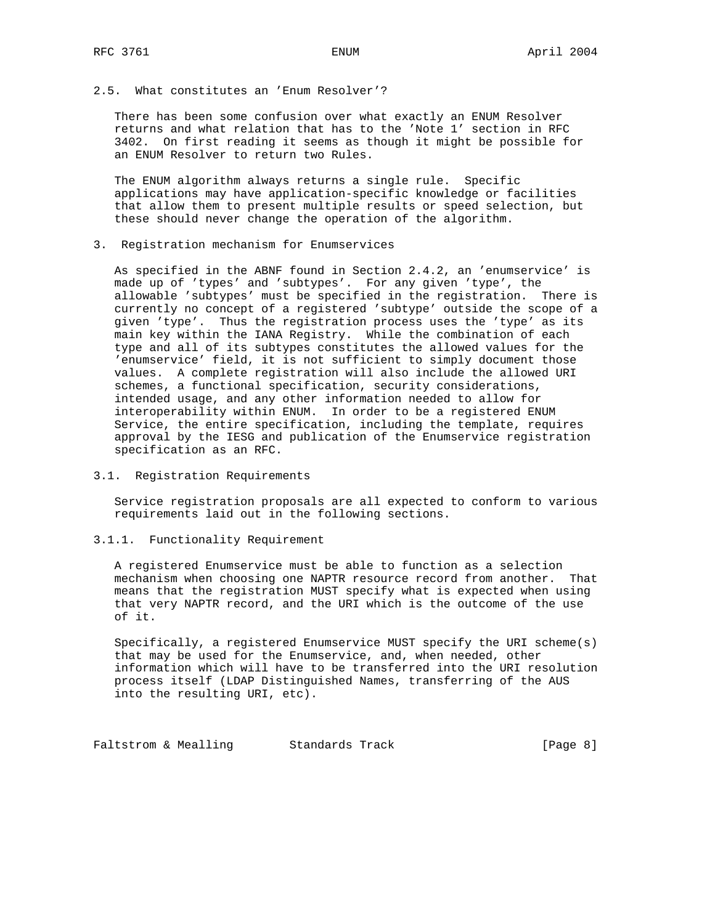2.5. What constitutes an 'Enum Resolver'?

 There has been some confusion over what exactly an ENUM Resolver returns and what relation that has to the 'Note 1' section in RFC 3402. On first reading it seems as though it might be possible for an ENUM Resolver to return two Rules.

 The ENUM algorithm always returns a single rule. Specific applications may have application-specific knowledge or facilities that allow them to present multiple results or speed selection, but these should never change the operation of the algorithm.

3. Registration mechanism for Enumservices

 As specified in the ABNF found in Section 2.4.2, an 'enumservice' is made up of 'types' and 'subtypes'. For any given 'type', the allowable 'subtypes' must be specified in the registration. There is currently no concept of a registered 'subtype' outside the scope of a given 'type'. Thus the registration process uses the 'type' as its main key within the IANA Registry. While the combination of each type and all of its subtypes constitutes the allowed values for the 'enumservice' field, it is not sufficient to simply document those values. A complete registration will also include the allowed URI schemes, a functional specification, security considerations, intended usage, and any other information needed to allow for interoperability within ENUM. In order to be a registered ENUM Service, the entire specification, including the template, requires approval by the IESG and publication of the Enumservice registration specification as an RFC.

3.1. Registration Requirements

 Service registration proposals are all expected to conform to various requirements laid out in the following sections.

3.1.1. Functionality Requirement

 A registered Enumservice must be able to function as a selection mechanism when choosing one NAPTR resource record from another. That means that the registration MUST specify what is expected when using that very NAPTR record, and the URI which is the outcome of the use of it.

 Specifically, a registered Enumservice MUST specify the URI scheme(s) that may be used for the Enumservice, and, when needed, other information which will have to be transferred into the URI resolution process itself (LDAP Distinguished Names, transferring of the AUS into the resulting URI, etc).

Faltstrom & Mealling Standards Track [Page 8]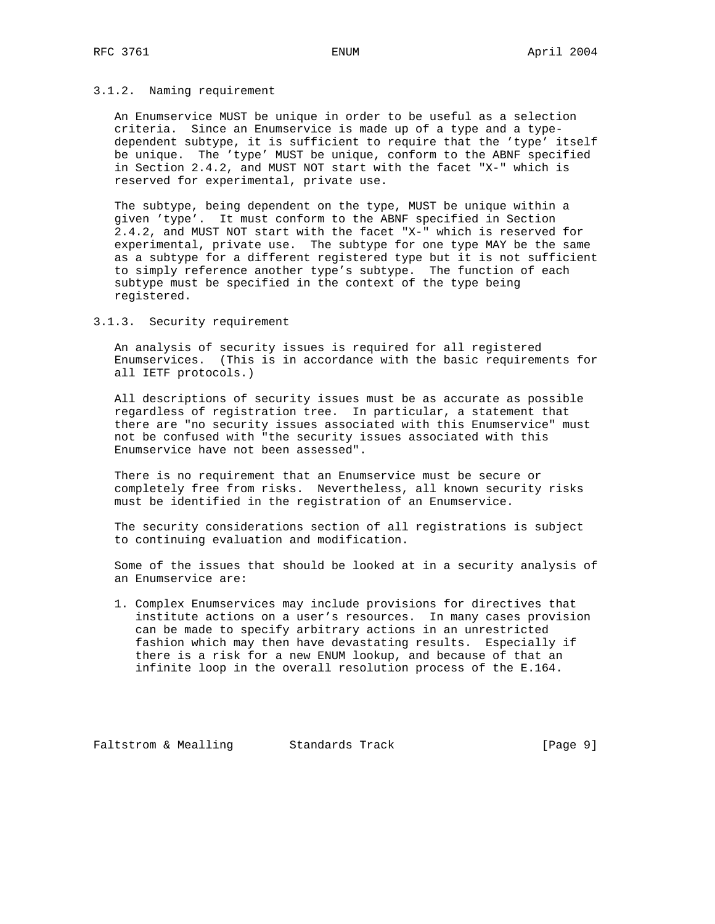### 3.1.2. Naming requirement

 An Enumservice MUST be unique in order to be useful as a selection criteria. Since an Enumservice is made up of a type and a type dependent subtype, it is sufficient to require that the 'type' itself be unique. The 'type' MUST be unique, conform to the ABNF specified in Section 2.4.2, and MUST NOT start with the facet "X-" which is reserved for experimental, private use.

 The subtype, being dependent on the type, MUST be unique within a given 'type'. It must conform to the ABNF specified in Section 2.4.2, and MUST NOT start with the facet "X-" which is reserved for experimental, private use. The subtype for one type MAY be the same as a subtype for a different registered type but it is not sufficient to simply reference another type's subtype. The function of each subtype must be specified in the context of the type being registered.

#### 3.1.3. Security requirement

 An analysis of security issues is required for all registered Enumservices. (This is in accordance with the basic requirements for all IETF protocols.)

 All descriptions of security issues must be as accurate as possible regardless of registration tree. In particular, a statement that there are "no security issues associated with this Enumservice" must not be confused with "the security issues associated with this Enumservice have not been assessed".

 There is no requirement that an Enumservice must be secure or completely free from risks. Nevertheless, all known security risks must be identified in the registration of an Enumservice.

 The security considerations section of all registrations is subject to continuing evaluation and modification.

 Some of the issues that should be looked at in a security analysis of an Enumservice are:

 1. Complex Enumservices may include provisions for directives that institute actions on a user's resources. In many cases provision can be made to specify arbitrary actions in an unrestricted fashion which may then have devastating results. Especially if there is a risk for a new ENUM lookup, and because of that an infinite loop in the overall resolution process of the E.164.

Faltstrom & Mealling Standards Track [Page 9]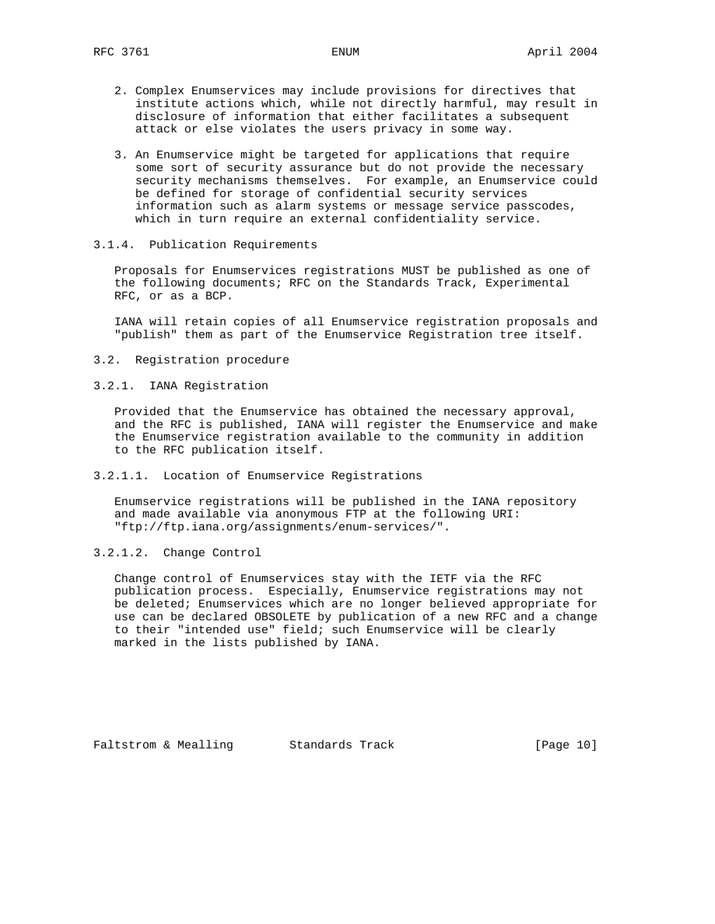- 2. Complex Enumservices may include provisions for directives that institute actions which, while not directly harmful, may result in disclosure of information that either facilitates a subsequent attack or else violates the users privacy in some way.
- 3. An Enumservice might be targeted for applications that require some sort of security assurance but do not provide the necessary security mechanisms themselves. For example, an Enumservice could be defined for storage of confidential security services information such as alarm systems or message service passcodes, which in turn require an external confidentiality service.
- 3.1.4. Publication Requirements

 Proposals for Enumservices registrations MUST be published as one of the following documents; RFC on the Standards Track, Experimental RFC, or as a BCP.

 IANA will retain copies of all Enumservice registration proposals and "publish" them as part of the Enumservice Registration tree itself.

- 3.2. Registration procedure
- 3.2.1. IANA Registration

 Provided that the Enumservice has obtained the necessary approval, and the RFC is published, IANA will register the Enumservice and make the Enumservice registration available to the community in addition to the RFC publication itself.

3.2.1.1. Location of Enumservice Registrations

 Enumservice registrations will be published in the IANA repository and made available via anonymous FTP at the following URI: "ftp://ftp.iana.org/assignments/enum-services/".

3.2.1.2. Change Control

 Change control of Enumservices stay with the IETF via the RFC publication process. Especially, Enumservice registrations may not be deleted; Enumservices which are no longer believed appropriate for use can be declared OBSOLETE by publication of a new RFC and a change to their "intended use" field; such Enumservice will be clearly marked in the lists published by IANA.

Faltstrom & Mealling Standards Track [Page 10]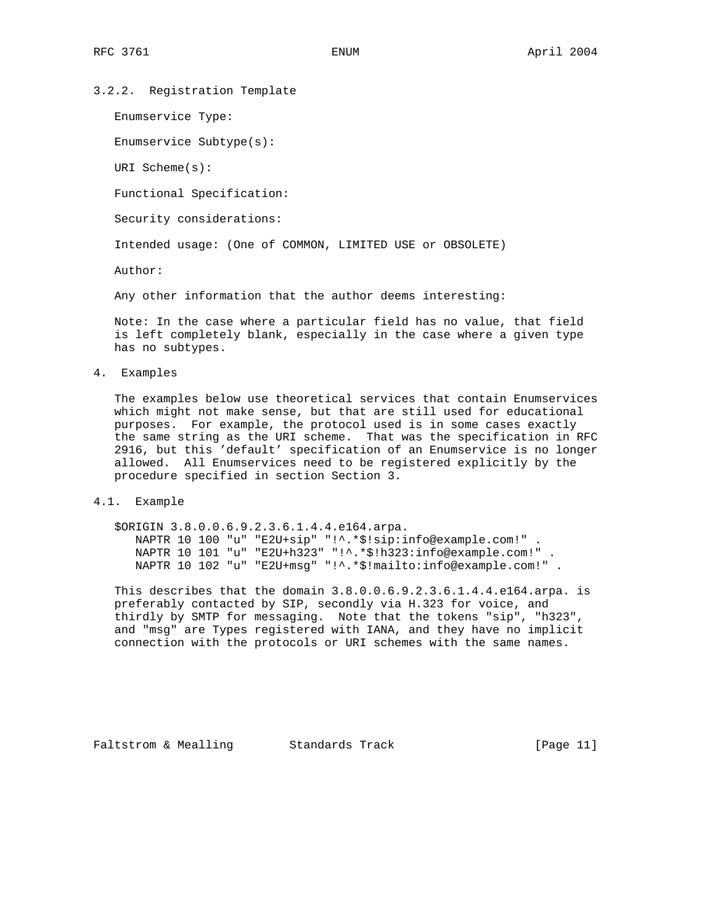3.2.2. Registration Template

Enumservice Type:

Enumservice Subtype(s):

URI Scheme(s):

Functional Specification:

Security considerations:

Intended usage: (One of COMMON, LIMITED USE or OBSOLETE)

Author:

Any other information that the author deems interesting:

 Note: In the case where a particular field has no value, that field is left completely blank, especially in the case where a given type has no subtypes.

4. Examples

 The examples below use theoretical services that contain Enumservices which might not make sense, but that are still used for educational purposes. For example, the protocol used is in some cases exactly the same string as the URI scheme. That was the specification in RFC 2916, but this 'default' specification of an Enumservice is no longer allowed. All Enumservices need to be registered explicitly by the procedure specified in section Section 3.

### 4.1. Example

 \$ORIGIN 3.8.0.0.6.9.2.3.6.1.4.4.e164.arpa. NAPTR 10 100 "u" "E2U+sip" "!^.\*\$!sip:info@example.com!" . NAPTR 10 101 "u" "E2U+h323" "!^.\*\$!h323:info@example.com!" . NAPTR 10 102 "u" "E2U+msg" "!^.\*\$!mailto:info@example.com!" .

 This describes that the domain 3.8.0.0.6.9.2.3.6.1.4.4.e164.arpa. is preferably contacted by SIP, secondly via H.323 for voice, and thirdly by SMTP for messaging. Note that the tokens "sip", "h323", and "msg" are Types registered with IANA, and they have no implicit connection with the protocols or URI schemes with the same names.

Faltstrom & Mealling Standards Track [Page 11]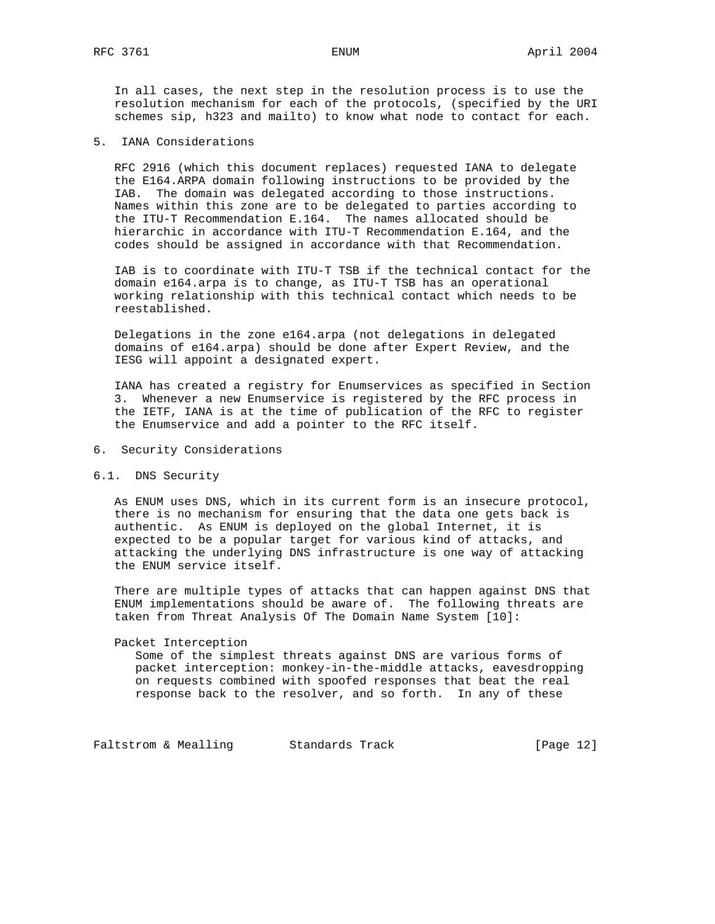In all cases, the next step in the resolution process is to use the resolution mechanism for each of the protocols, (specified by the URI schemes sip, h323 and mailto) to know what node to contact for each.

5. IANA Considerations

 RFC 2916 (which this document replaces) requested IANA to delegate the E164.ARPA domain following instructions to be provided by the IAB. The domain was delegated according to those instructions. Names within this zone are to be delegated to parties according to the ITU-T Recommendation E.164. The names allocated should be hierarchic in accordance with ITU-T Recommendation E.164, and the codes should be assigned in accordance with that Recommendation.

 IAB is to coordinate with ITU-T TSB if the technical contact for the domain e164.arpa is to change, as ITU-T TSB has an operational working relationship with this technical contact which needs to be reestablished.

 Delegations in the zone e164.arpa (not delegations in delegated domains of e164.arpa) should be done after Expert Review, and the IESG will appoint a designated expert.

 IANA has created a registry for Enumservices as specified in Section 3. Whenever a new Enumservice is registered by the RFC process in the IETF, IANA is at the time of publication of the RFC to register the Enumservice and add a pointer to the RFC itself.

6. Security Considerations

## 6.1. DNS Security

 As ENUM uses DNS, which in its current form is an insecure protocol, there is no mechanism for ensuring that the data one gets back is authentic. As ENUM is deployed on the global Internet, it is expected to be a popular target for various kind of attacks, and attacking the underlying DNS infrastructure is one way of attacking the ENUM service itself.

 There are multiple types of attacks that can happen against DNS that ENUM implementations should be aware of. The following threats are taken from Threat Analysis Of The Domain Name System [10]:

Packet Interception

 Some of the simplest threats against DNS are various forms of packet interception: monkey-in-the-middle attacks, eavesdropping on requests combined with spoofed responses that beat the real response back to the resolver, and so forth. In any of these

Faltstrom & Mealling Standards Track [Page 12]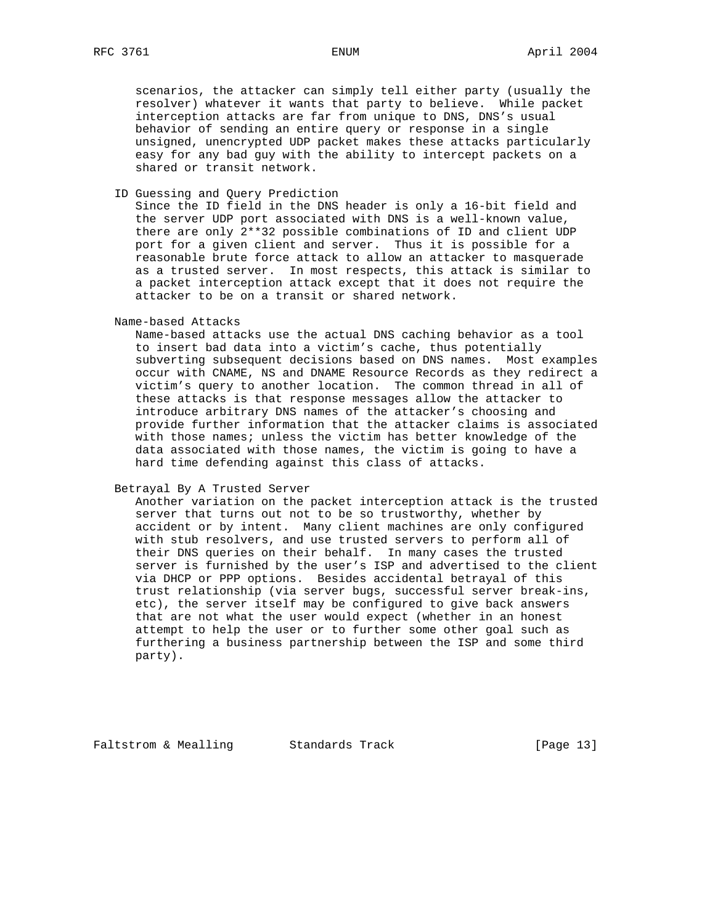scenarios, the attacker can simply tell either party (usually the resolver) whatever it wants that party to believe. While packet interception attacks are far from unique to DNS, DNS's usual behavior of sending an entire query or response in a single unsigned, unencrypted UDP packet makes these attacks particularly easy for any bad guy with the ability to intercept packets on a shared or transit network.

ID Guessing and Query Prediction

 Since the ID field in the DNS header is only a 16-bit field and the server UDP port associated with DNS is a well-known value, there are only 2\*\*32 possible combinations of ID and client UDP port for a given client and server. Thus it is possible for a reasonable brute force attack to allow an attacker to masquerade as a trusted server. In most respects, this attack is similar to a packet interception attack except that it does not require the attacker to be on a transit or shared network.

Name-based Attacks

 Name-based attacks use the actual DNS caching behavior as a tool to insert bad data into a victim's cache, thus potentially subverting subsequent decisions based on DNS names. Most examples occur with CNAME, NS and DNAME Resource Records as they redirect a victim's query to another location. The common thread in all of these attacks is that response messages allow the attacker to introduce arbitrary DNS names of the attacker's choosing and provide further information that the attacker claims is associated with those names; unless the victim has better knowledge of the data associated with those names, the victim is going to have a hard time defending against this class of attacks.

Betrayal By A Trusted Server

 Another variation on the packet interception attack is the trusted server that turns out not to be so trustworthy, whether by accident or by intent. Many client machines are only configured with stub resolvers, and use trusted servers to perform all of their DNS queries on their behalf. In many cases the trusted server is furnished by the user's ISP and advertised to the client via DHCP or PPP options. Besides accidental betrayal of this trust relationship (via server bugs, successful server break-ins, etc), the server itself may be configured to give back answers that are not what the user would expect (whether in an honest attempt to help the user or to further some other goal such as furthering a business partnership between the ISP and some third party).

Faltstrom & Mealling Standards Track [Page 13]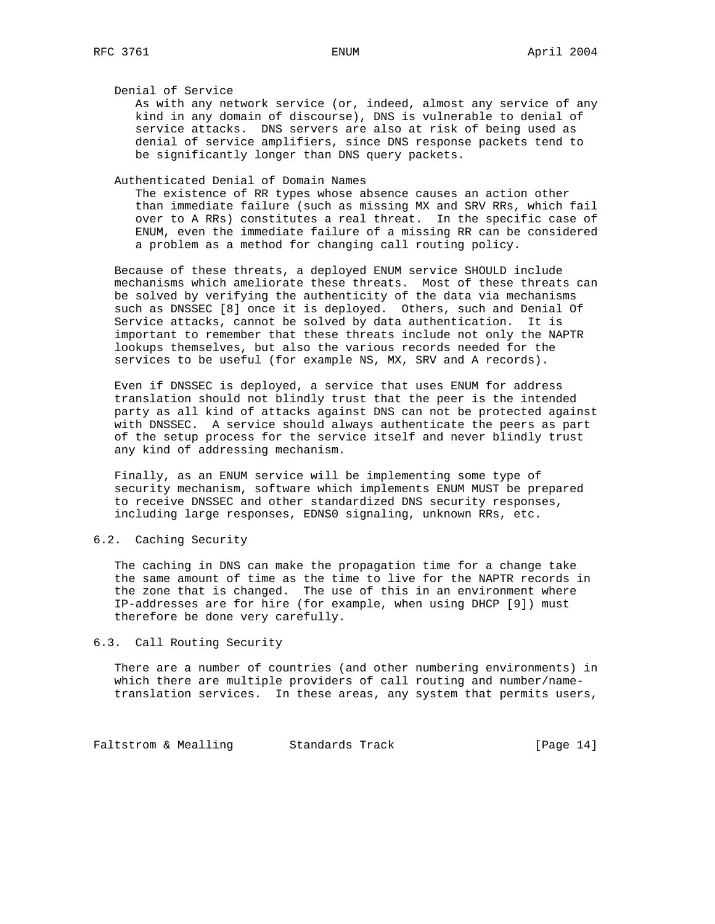Denial of Service

 As with any network service (or, indeed, almost any service of any kind in any domain of discourse), DNS is vulnerable to denial of service attacks. DNS servers are also at risk of being used as denial of service amplifiers, since DNS response packets tend to be significantly longer than DNS query packets.

### Authenticated Denial of Domain Names

 The existence of RR types whose absence causes an action other than immediate failure (such as missing MX and SRV RRs, which fail over to A RRs) constitutes a real threat. In the specific case of ENUM, even the immediate failure of a missing RR can be considered a problem as a method for changing call routing policy.

 Because of these threats, a deployed ENUM service SHOULD include mechanisms which ameliorate these threats. Most of these threats can be solved by verifying the authenticity of the data via mechanisms such as DNSSEC [8] once it is deployed. Others, such and Denial Of Service attacks, cannot be solved by data authentication. It is important to remember that these threats include not only the NAPTR lookups themselves, but also the various records needed for the services to be useful (for example NS, MX, SRV and A records).

 Even if DNSSEC is deployed, a service that uses ENUM for address translation should not blindly trust that the peer is the intended party as all kind of attacks against DNS can not be protected against with DNSSEC. A service should always authenticate the peers as part of the setup process for the service itself and never blindly trust any kind of addressing mechanism.

 Finally, as an ENUM service will be implementing some type of security mechanism, software which implements ENUM MUST be prepared to receive DNSSEC and other standardized DNS security responses, including large responses, EDNS0 signaling, unknown RRs, etc.

## 6.2. Caching Security

 The caching in DNS can make the propagation time for a change take the same amount of time as the time to live for the NAPTR records in the zone that is changed. The use of this in an environment where IP-addresses are for hire (for example, when using DHCP [9]) must therefore be done very carefully.

#### 6.3. Call Routing Security

 There are a number of countries (and other numbering environments) in which there are multiple providers of call routing and number/name translation services. In these areas, any system that permits users,

Faltstrom & Mealling Standards Track [Page 14]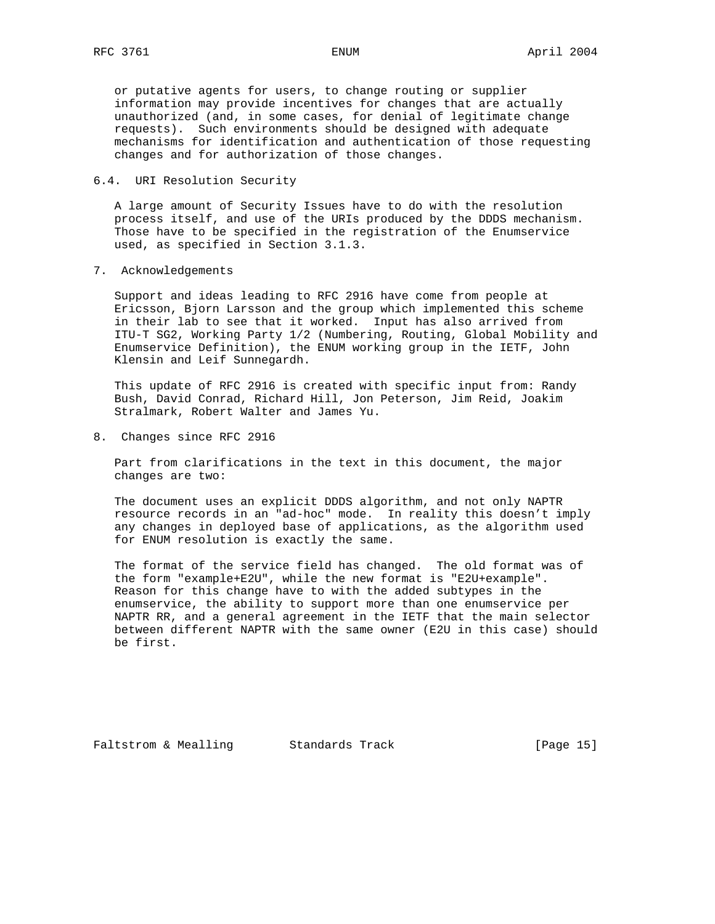or putative agents for users, to change routing or supplier information may provide incentives for changes that are actually unauthorized (and, in some cases, for denial of legitimate change requests). Such environments should be designed with adequate mechanisms for identification and authentication of those requesting changes and for authorization of those changes.

6.4. URI Resolution Security

 A large amount of Security Issues have to do with the resolution process itself, and use of the URIs produced by the DDDS mechanism. Those have to be specified in the registration of the Enumservice used, as specified in Section 3.1.3.

7. Acknowledgements

 Support and ideas leading to RFC 2916 have come from people at Ericsson, Bjorn Larsson and the group which implemented this scheme in their lab to see that it worked. Input has also arrived from ITU-T SG2, Working Party 1/2 (Numbering, Routing, Global Mobility and Enumservice Definition), the ENUM working group in the IETF, John Klensin and Leif Sunnegardh.

 This update of RFC 2916 is created with specific input from: Randy Bush, David Conrad, Richard Hill, Jon Peterson, Jim Reid, Joakim Stralmark, Robert Walter and James Yu.

8. Changes since RFC 2916

 Part from clarifications in the text in this document, the major changes are two:

 The document uses an explicit DDDS algorithm, and not only NAPTR resource records in an "ad-hoc" mode. In reality this doesn't imply any changes in deployed base of applications, as the algorithm used for ENUM resolution is exactly the same.

 The format of the service field has changed. The old format was of the form "example+E2U", while the new format is "E2U+example". Reason for this change have to with the added subtypes in the enumservice, the ability to support more than one enumservice per NAPTR RR, and a general agreement in the IETF that the main selector between different NAPTR with the same owner (E2U in this case) should be first.

Faltstrom & Mealling Standards Track [Page 15]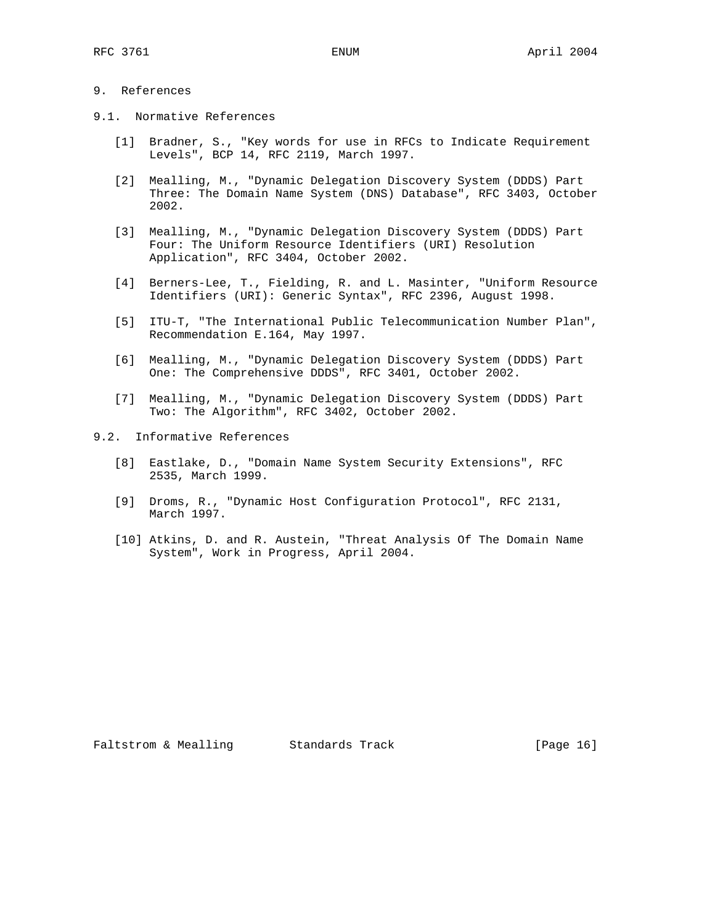# 9. References

- 9.1. Normative References
	- [1] Bradner, S., "Key words for use in RFCs to Indicate Requirement Levels", BCP 14, RFC 2119, March 1997.
	- [2] Mealling, M., "Dynamic Delegation Discovery System (DDDS) Part Three: The Domain Name System (DNS) Database", RFC 3403, October 2002.
	- [3] Mealling, M., "Dynamic Delegation Discovery System (DDDS) Part Four: The Uniform Resource Identifiers (URI) Resolution Application", RFC 3404, October 2002.
	- [4] Berners-Lee, T., Fielding, R. and L. Masinter, "Uniform Resource Identifiers (URI): Generic Syntax", RFC 2396, August 1998.
	- [5] ITU-T, "The International Public Telecommunication Number Plan", Recommendation E.164, May 1997.
	- [6] Mealling, M., "Dynamic Delegation Discovery System (DDDS) Part One: The Comprehensive DDDS", RFC 3401, October 2002.
	- [7] Mealling, M., "Dynamic Delegation Discovery System (DDDS) Part Two: The Algorithm", RFC 3402, October 2002.
- 9.2. Informative References
	- [8] Eastlake, D., "Domain Name System Security Extensions", RFC 2535, March 1999.
	- [9] Droms, R., "Dynamic Host Configuration Protocol", RFC 2131, March 1997.
	- [10] Atkins, D. and R. Austein, "Threat Analysis Of The Domain Name System", Work in Progress, April 2004.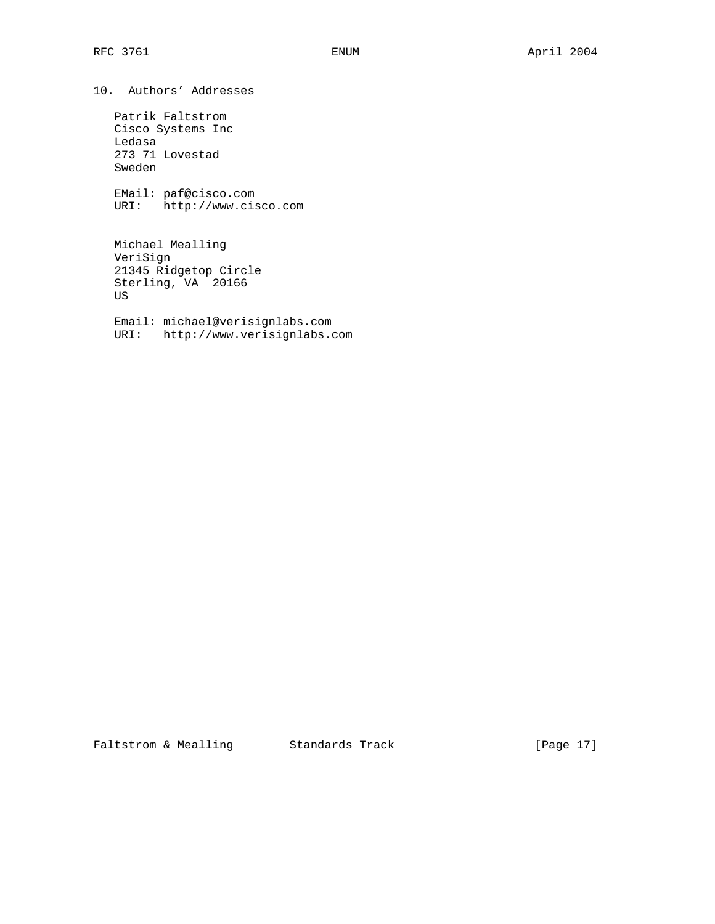10. Authors' Addresses

 Patrik Faltstrom Cisco Systems Inc Ledasa 273 71 Lovestad Sweden

 EMail: paf@cisco.com URI: http://www.cisco.com

 Michael Mealling VeriSign 21345 Ridgetop Circle Sterling, VA 20166 US

 Email: michael@verisignlabs.com URI: http://www.verisignlabs.com